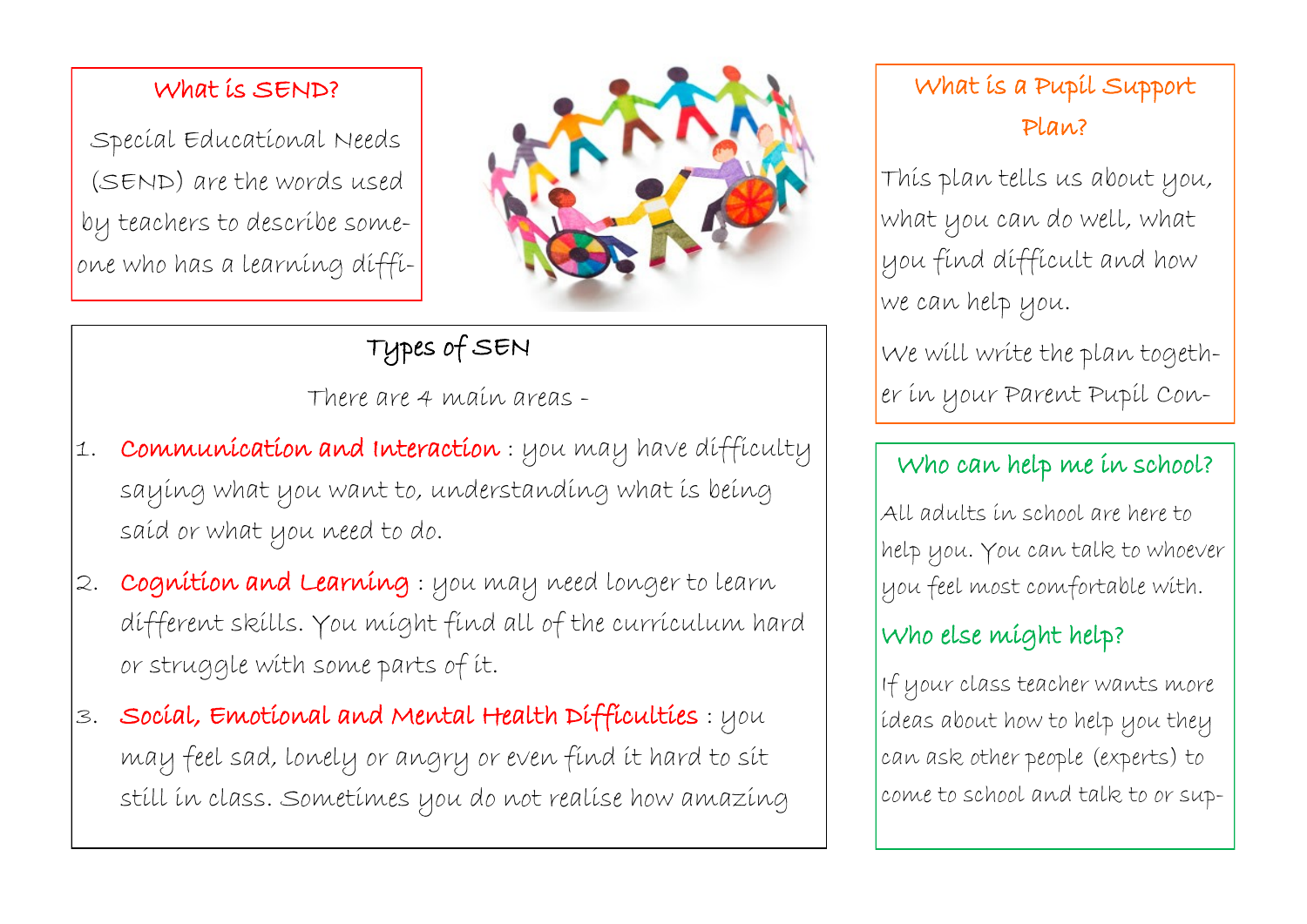#### What is SEND?

Special Educational Needs (SEND) are the words used by teachers to describe someone who has a learning diffi-



# Types of SEN

There are 4 main areas -

- 1. Communication and Interaction : you may have difficulty saying what you want to, understanding what is being said or what you need to do.
- 2. Cognition and Learning : you may need longer to learn different skills. You might find all of the curriculum hard or struggle with some parts of it.
- 3. Social, Emotional and Mental Health Difficulties : you may feel sad, lonely or angry or even find it hard to sit still in class. Sometimes you do not realise how amazing

# What is a Pupil Support Plan?

This plan tells us about you, what you can do well, what you find difficult and how we can help you.

We will write the plan together in your Parent Pupil Con-

### Who can help me in school?

All adults in school are here to help you. You can talk to whoever you feel most comfortable with.

### Who else might help?

If your class teacher wants more ideas about how to help you they can ask other people (experts) to come to school and talk to or sup-